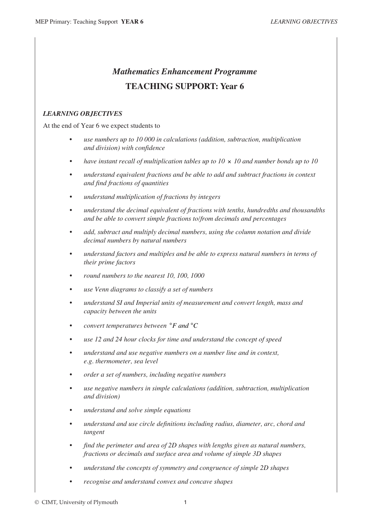## *Mathematics Enhancement Programme* **TEACHING SUPPORT: Year 6**

## *LEARNING OBJECTIVES*

At the end of Year 6 we expect students to

- *use numbers up to 10 000 in calculations (addition, subtraction, multiplication and division) with confidence*
- *have instant recall of multiplication tables up to 10*  $\times$  *10 and number bonds up to 10*
- *understand equivalent fractions and be able to add and subtract fractions in context and find fractions of quantities*
- *understand multiplication of fractions by integers*
- *understand the decimal equivalent of fractions with tenths, hundredths and thousandths and be able to convert simple fractions to/from decimals and percentages*
- *add, subtract and multiply decimal numbers, using the column notation and divide decimal numbers by natural numbers*
- *understand factors and multiples and be able to express natural numbers in terms of their prime factors*
- *round numbers to the nearest 10, 100, 1000*
- *use Venn diagrams to classify a set of numbers*
- *understand SI and Imperial units of measurement and convert length, mass and capacity between the units*
- *convert temperatures between*  $\degree$ *F and*  $\degree$ *C*
- *use 12 and 24 hour clocks for time and understand the concept of speed*
- *understand and use negative numbers on a number line and in context, e.g. thermometer, sea level*
- *order a set of numbers, including negative numbers*
- *use negative numbers in simple calculations (addition, subtraction, multiplication and division)*
- *understand and solve simple equations*
- *understand and use circle definitions including radius, diameter, arc, chord and tangent*
- *find the perimeter and area of 2D shapes with lengths given as natural numbers, fractions or decimals and surface area and volume of simple 3D shapes*
- *understand the concepts of symmetry and congruence of simple 2D shapes*
- *recognise and understand convex and concave shapes*